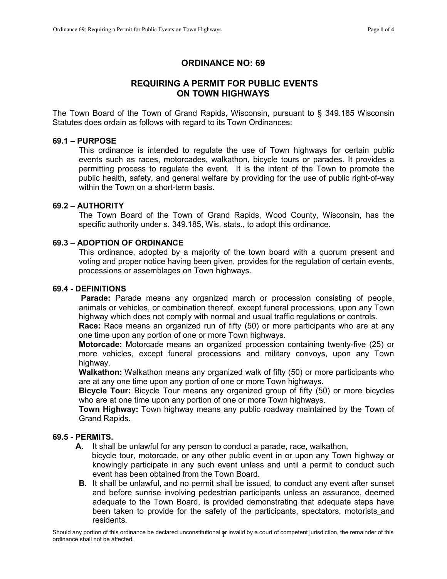# ORDINANCE NO: 69

# REQUIRING A PERMIT FOR PUBLIC EVENTS ON TOWN HIGHWAYS

The Town Board of the Town of Grand Rapids, Wisconsin, pursuant to § 349.185 Wisconsin Statutes does ordain as follows with regard to its Town Ordinances:

## 69.1 – PURPOSE

This ordinance is intended to regulate the use of Town highways for certain public events such as races, motorcades, walkathon, bicycle tours or parades. It provides a permitting process to regulate the event. It is the intent of the Town to promote the public health, safety, and general welfare by providing for the use of public right-of-way within the Town on a short-term basis.

# 69.2 – AUTHORITY

The Town Board of the Town of Grand Rapids, Wood County, Wisconsin, has the specific authority under s. [349.185, W](http://nxt.legis.state.wi.us/NXT/gateway.dll?f=xhitlist$xhitlist_x=Advanced$xhitlist_vpc=first$xhitlist_xsl=querylink.xsl$xhitlist_sel=title;path;content-type;home-title$xhitlist_d=%7bstats%7d$xhitlist_q=%5bfield%20folio-destination-name:)is. stats., to adopt this ordinance.

#### 69.3 – ADOPTION OF ORDINANCE

This ordinance, adopted by a majority of the town board with a quorum present and voting and proper notice having been given, provides for the regulation of certain events, processions or assemblages on Town highways.

#### 69.4 - DEFINITIONS

Parade: Parade means any organized march or procession consisting of people, animals or vehicles, or combination thereof, except funeral processions, upon any Town highway which does not comply with normal and usual traffic regulations or controls.

Race: Race means an organized run of fifty (50) or more participants who are at any one time upon any portion of one or more Town highways.

Motorcade: Motorcade means an organized procession containing twenty-five (25) or more vehicles, except funeral processions and military convoys, upon any Town highway.

Walkathon: Walkathon means any organized walk of fifty (50) or more participants who are at any one time upon any portion of one or more Town highways.

Bicycle Tour: Bicycle Tour means any organized group of fifty (50) or more bicycles who are at one time upon any portion of one or more Town highways.

Town Highway: Town highway means any public roadway maintained by the Town of Grand Rapids.

#### 69.5 - PERMITS.

- A. It shall be unlawful for any person to conduct a parade, race, walkathon,
	- bicycle tour, motorcade, or any other public event in or upon any Town highway or knowingly participate in any such event unless and until a permit to conduct such event has been obtained from the Town Board.
- **B.** It shall be unlawful, and no permit shall be issued, to conduct any event after sunset and before sunrise involving pedestrian participants unless an assurance, deemed adequate to the Town Board, is provided demonstrating that adequate steps have been taken to provide for the safety of the participants, spectators, motorists and residents.

Should any portion of this ordinance be declared unconstitutional φr invalid by a court of competent jurisdiction, the remainder of this<br>ordinance shall not be affected.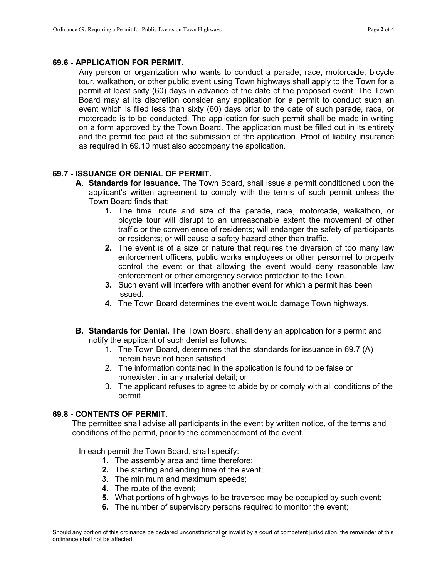### 69.6 - APPLICATION FOR PERMIT.

Any person or organization who wants to conduct a parade, race, motorcade, bicycle tour, walkathon, or other public event using Town highways shall apply to the Town for a permit at least sixty (60) days in advance of the date of the proposed event. The Town Board may at its discretion consider any application for a permit to conduct such an event which is filed less than sixty (60) days prior to the date of such parade, race, or motorcade is to be conducted. The application for such permit shall be made in writing on a form approved by the Town Board. The application must be filled out in its entirety and the permit fee paid at the submission of the application. Proof of liability insurance as required in 69.10 must also accompany the application.

# 69.7 - ISSUANCE OR DENIAL OF PERMIT.

- A. Standards for Issuance. The Town Board, shall issue a permit conditioned upon the applicant's written agreement to comply with the terms of such permit unless the Town Board finds that:
	- 1. The time, route and size of the parade, race, motorcade, walkathon, or bicycle tour will disrupt to an unreasonable extent the movement of other traffic or the convenience of residents; will endanger the safety of participants or residents; or will cause a safety hazard other than traffic.
	- 2. The event is of a size or nature that requires the diversion of too many law enforcement officers, public works employees or other personnel to properly control the event or that allowing the event would deny reasonable law enforcement or other emergency service protection to the Town.
	- 3. Such event will interfere with another event for which a permit has been issued.
	- 4. The Town Board determines the event would damage Town highways.
- B. Standards for Denial. The Town Board, shall deny an application for a permit and notify the applicant of such denial as follows:
	- 1. The Town Board, determines that the standards for issuance in 69.7 (A) herein have not been satisfied
	- 2. The information contained in the application is found to be false or nonexistent in any material detail; or
	- 3. The applicant refuses to agree to abide by or comply with all conditions of the permit.

# 69.8 - CONTENTS OF PERMIT.

The permittee shall advise all participants in the event by written notice, of the terms and conditions of the permit, prior to the commencement of the event.

In each permit the Town Board, shall specify:

- 1. The assembly area and time therefore;
- 2. The starting and ending time of the event;
- 3. The minimum and maximum speeds;
- 4. The route of the event;
- 5. What portions of highways to be traversed may be occupied by such event;
- 6. The number of supervisory persons required to monitor the event;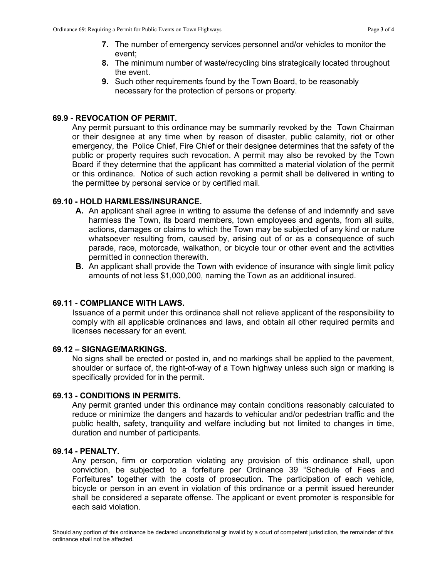- 7. The number of emergency services personnel and/or vehicles to monitor the event;
- 8. The minimum number of waste/recycling bins strategically located throughout the event.
- 9. Such other requirements found by the Town Board, to be reasonably necessary for the protection of persons or property.

# 69.9 - REVOCATION OF PERMIT.

Any permit pursuant to this ordinance may be summarily revoked by the Town Chairman or their designee at any time when by reason of disaster, public calamity, riot or other emergency, the Police Chief, Fire Chief or their designee determines that the safety of the public or property requires such revocation. A permit may also be revoked by the Town Board if they determine that the applicant has committed a material violation of the permit or this ordinance. Notice of such action revoking a permit shall be delivered in writing to the permittee by personal service or by certified mail.

# 69.10 - HOLD HARMLESS/INSURANCE.

- A. An applicant shall agree in writing to assume the defense of and indemnify and save harmless the Town, its board members, town employees and agents, from all suits, actions, damages or claims to which the Town may be subjected of any kind or nature whatsoever resulting from, caused by, arising out of or as a consequence of such parade, race, motorcade, walkathon, or bicycle tour or other event and the activities permitted in connection therewith.
- **B.** An applicant shall provide the Town with evidence of insurance with single limit policy amounts of not less \$1,000,000, naming the Town as an additional insured.

## 69.11 - COMPLIANCE WITH LAWS.

Issuance of a permit under this ordinance shall not relieve applicant of the responsibility to comply with all applicable ordinances and laws, and obtain all other required permits and licenses necessary for an event.

## 69.12 – SIGNAGE/MARKINGS.

No signs shall be erected or posted in, and no markings shall be applied to the pavement, shoulder or surface of, the right-of-way of a Town highway unless such sign or marking is specifically provided for in the permit.

# 69.13 - CONDITIONS IN PERMITS.

Any permit granted under this ordinance may contain conditions reasonably calculated to reduce or minimize the dangers and hazards to vehicular and/or pedestrian traffic and the public health, safety, tranquility and welfare including but not limited to changes in time, duration and number of participants.

## 69.14 - PENALTY.

Any person, firm or corporation violating any provision of this ordinance shall, upon conviction, be subjected to a forfeiture per Ordinance 39 "Schedule of Fees and Forfeitures" together with the costs of prosecution. The participation of each vehicle, bicycle or person in an event in violation of this ordinance or a permit issued hereunder shall be considered a separate offense. The applicant or event promoter is responsible for each said violation.